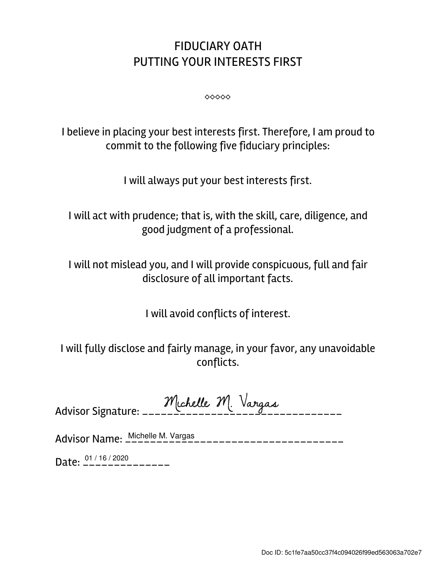## FIDUCIARY OATH PUTTING YOUR INTERESTS FIRST

⬥⬥⬥⬥⬥

I believe in placing your best interests first. Therefore, I am proud to commit to the following five fiduciary principles:

I will always put your best interests first.

I will act with prudence; that is, with the skill, care, diligence, and good judgment of a professional.

I will not mislead you, and I will provide conspicuous, full and fair disclosure of all important facts.

I will avoid conflicts of interest.

I will fully disclose and fairly manage, in your favor, any unavoidable conflicts.

| Michelle M. Vargas |  |  |
|--------------------|--|--|
|                    |  |  |

Advisor Name: \_\_\_\_\_\_\_\_\_\_\_\_\_\_\_\_\_\_\_\_\_\_\_\_\_\_\_\_\_\_\_\_\_\_\_ Michelle M. Vargas

Date:  $\frac{01/16/2020}{---------}$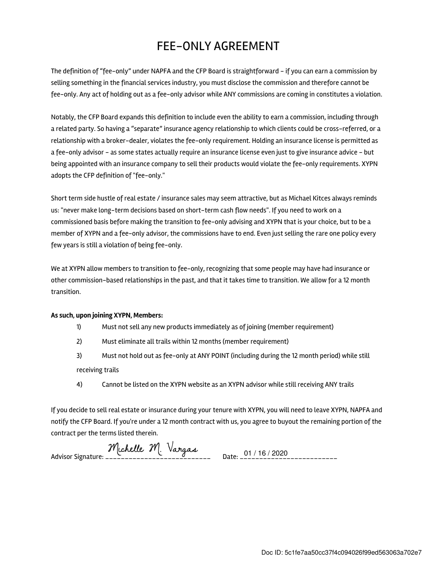## FEE-ONLY AGREEMENT

The definition of "fee-only" under NAPFA and the CFP Board is straightforward - if you can earn a commission by selling something in the financial services industry, you must disclose the commission and therefore cannot be fee-only. Any act of holding out as a fee-only advisor while ANY commissions are coming in constitutes a violation.

Notably, the CFP Board expands this definition to include even the ability to earn a commission, including through a related party. So having a "separate" insurance agency relationship to which clients could be cross-referred, or a relationship with a broker-dealer, violates the fee-only requirement. Holding an insurance license is permitted as a fee-only advisor - as some states actually require an insurance license even just to give insurance advice - but being appointed with an insurance company to sell their products would violate the fee-only requirements. XYPN adopts the CFP definition of "fee-only."

Short term side hustle of real estate / insurance sales may seem attractive, but as Michael Kitces always reminds us: "never make long-term decisions based on short-term cash flow needs". If you need to work on a commissioned basis before making the transition to fee-only advising and XYPN that is your choice, but to be a member of XYPN and a fee-only advisor, the commissions have to end. Even just selling the rare one policy every few years is still a violation of being fee-only.

We at XYPN allow members to transition to fee-only, recognizing that some people may have had insurance or other commission-based relationships in the past, and that it takes time to transition. We allow for a 12 month transition.

## As such, upon joining XYPN, Members:

- 1) Must not sell any new products immediately as of joining (member requirement)
- 2) Must eliminate all trails within 12 months (member requirement)
- 3) Must not hold out as fee-only at ANY POINT (including during the 12 month period) while still receiving trails
- 4) Cannot be listed on the XYPN website as an XYPN advisor while still receiving ANY trails

If you decide to sell real estate or insurance during your tenure with XYPN, you will need to leave XYPN, NAPFA and notify the CFP Board. If you're under a 12 month contract with us, you agree to buyout the remaining portion of the contract per the terms listed therein.

Advisor Signature: \_\_\_\_\_\_\_\_\_\_\_\_\_\_\_\_\_\_\_\_\_\_\_\_\_\_\_ Date: \_\_\_\_\_\_\_\_\_\_\_\_\_\_\_\_\_\_\_\_\_\_\_\_\_ 01 / 16 / 2020